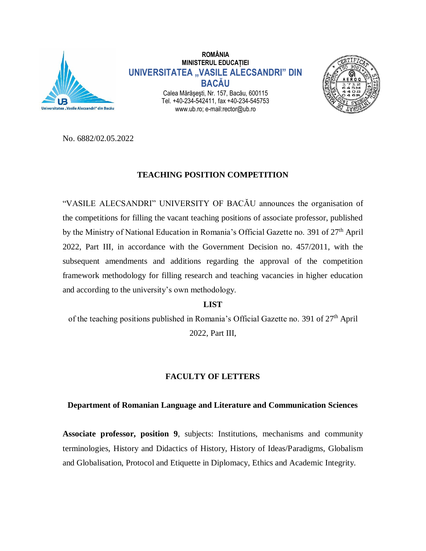

**ROMÂNIA MINISTERUL EDUCAȚIEI UNIVERSITATEA "VASILE ALECSANDRI" DIN BACĂU** Calea Mărăşeşti, Nr. 157, Bacău, 600115 Tel. +40-234-542411, fax +40-234-545753 www.ub.ro; e-mail:rector@ub.ro



No. 6882/02.05.2022

# **TEACHING POSITION COMPETITION**

"VASILE ALECSANDRI" UNIVERSITY OF BACĂU announces the organisation of the competitions for filling the vacant teaching positions of associate professor, published by the Ministry of National Education in Romania's Official Gazette no. 391 of 27<sup>th</sup> April 2022, Part III, in accordance with the Government Decision no. 457/2011, with the subsequent amendments and additions regarding the approval of the competition framework methodology for filling research and teaching vacancies in higher education and according to the university's own methodology.

## **LIST**

of the teaching positions published in Romania's Official Gazette no. 391 of  $27<sup>th</sup>$  April 2022, Part III,

# **FACULTY OF LETTERS**

## **Department of Romanian Language and Literature and Communication Sciences**

**Associate professor, position 9**, subjects: Institutions, mechanisms and community terminologies, History and Didactics of History, History of Ideas/Paradigms, Globalism and Globalisation, Protocol and Etiquette in Diplomacy, Ethics and Academic Integrity.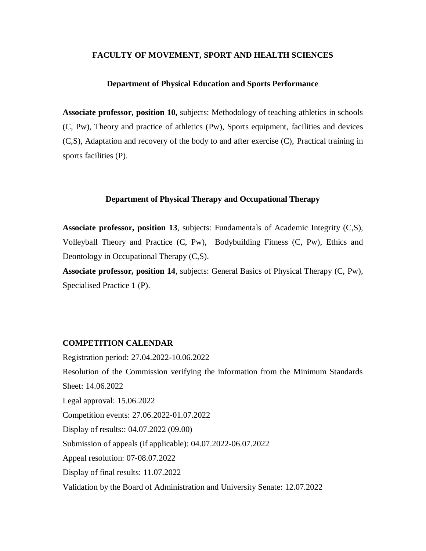### **FACULTY OF MOVEMENT, SPORT AND HEALTH SCIENCES**

### **Department of Physical Education and Sports Performance**

**Associate professor, position 10,** subjects: Methodology of teaching athletics in schools (C, Pw), Theory and practice of athletics (Pw), Sports equipment, facilities and devices (C,S), Adaptation and recovery of the body to and after exercise (C), Practical training in sports facilities (P).

### **Department of Physical Therapy and Occupational Therapy**

**Associate professor, position 13**, subjects: Fundamentals of Academic Integrity (C,S), Volleyball Theory and Practice (C, Pw), Bodybuilding Fitness (C, Pw), Ethics and Deontology in Occupational Therapy (C,S).

**Associate professor, position 14**, subjects: General Basics of Physical Therapy (C, Pw), Specialised Practice 1 (P).

#### **COMPETITION CALENDAR**

Registration period: 27.04.2022-10.06.2022 Resolution of the Commission verifying the information from the Minimum Standards Sheet: 14.06.2022 Legal approval: 15.06.2022 Competition events: 27.06.2022-01.07.2022 Display of results:: 04.07.2022 (09.00) Submission of appeals (if applicable): 04.07.2022-06.07.2022 Appeal resolution: 07-08.07.2022 Display of final results: 11.07.2022 Validation by the Board of Administration and University Senate: 12.07.2022